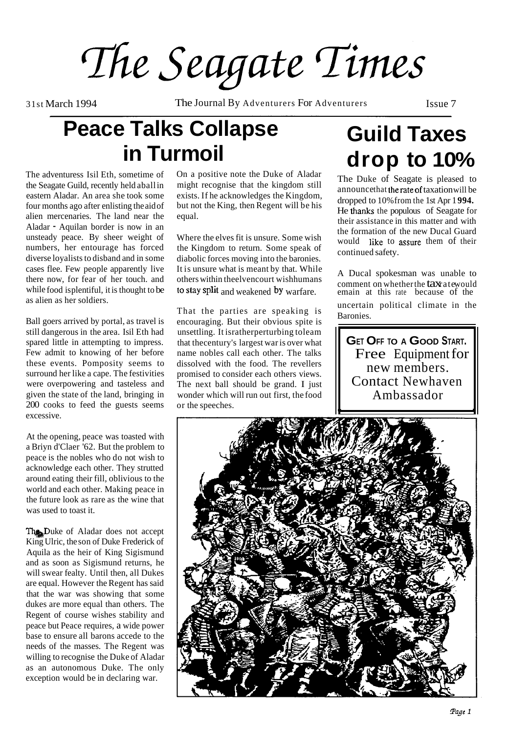The Seagate Times

31st March 1994 The Journal By Adventurers For Adventurers Issue 7

### **Peace Talks Collapse in Turmoil**

The adventuress Isil Eth, sometime of the Seagate Guild, recently held aball in eastern Aladar. An area she took some four months ago after enlisting the aid of alien mercenaries. The land near the Aladar - Aquilan border is now in an unsteady peace. By sheer weight of numbers, her entourage has forced diverse loyalists to disband and in some cases flee. Few people apparently live there now, for fear of her touch. and while food is plentiful, it is thought to be as alien as her soldiers.

Ball goers arrived by portal, as travel is still dangerous in the area. Isil Eth had spared little in attempting to impress. Few admit to knowing of her before these events. Pomposity seems to surround her like a cape. The festivities were overpowering and tasteless and given the state of the land, bringing in 200 cooks to feed the guests seems excessive.

At the opening, peace was toasted with a Briyn d'Claer '62. But the problem to peace is the nobles who do not wish to acknowledge each other. They strutted around eating their fill, oblivious to the world and each other. Making peace in the future look as rare as the wine that was used to toast it.

The Duke of Aladar does not accept King Ulric, the son of Duke Frederick of Aquila as the heir of King Sigismund and as soon as Sigismund returns, he will swear fealty. Until then, all Dukes are equal. However the Regent has said that the war was showing that some dukes are more equal than others. The Regent of course wishes stability and peace but Peace requires, a wide power base to ensure all barons accede to the needs of the masses. The Regent was willing to recognise the Duke of Aladar as an autonomous Duke. The only exception would be in declaring war.

On a positive note the Duke of Aladar<br>
The Duke of Seagate is pleased to<br>
announce that the rate of taxation will be

Where the elves fit is unsure. Some wish would like to assure them of their the Kingdom to return. Some speak of  $\frac{1}{\sqrt{2\pi}}$ the Kingdom to return. Some speak of continued safety.<br>diabolic forces moving into the baronies. It is unsure what is meant by that. While<br>
others within theelvencourt wishhumans<br>
to stay split and weakened by warfare.<br>
comment on whether the taxratewould<br>
emain at this rate because of the

That the parties are speaking is encouraging. But their obvious spite is unsettling. It isratherperturbing toleam that thecentury's largest war is over what name nobles call each other. The talks dissolved with the food. The revellers promised to consider each others views. The next ball should be grand. I just wonder which will run out first, the food or the speeches.

### **Guild Taxes drop to 10%**

exists. If he acknowledges the Kingdom,<br>but not the King, then Regent will be his<br>dropped to 10% from the 1st Apr 1994.<br>He thanks the populous of Seagate for<br>equal.<br>their assistance in this matter and with<br>the formation of

emain at this rate because of the uncertain political climate in the Baronies.

**GET OFF TO A GOOD START.**  Free Equipment for new members. Contact Newhaven Ambassador . .

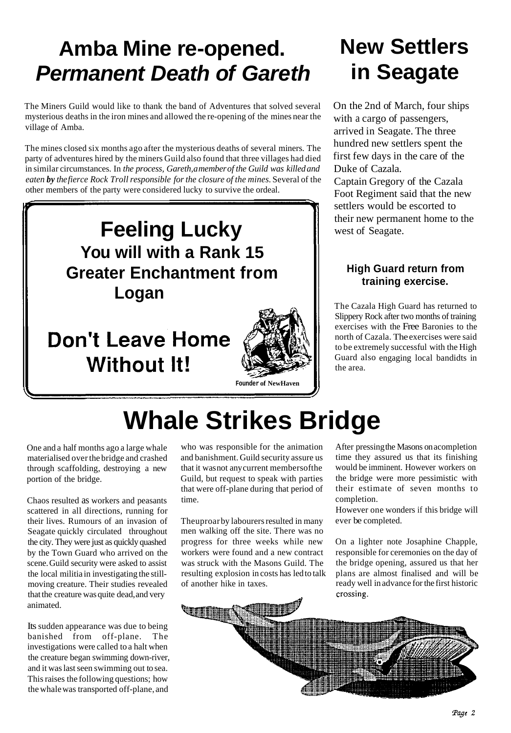## **Amba Mine re-opened. Permanent Death of Gareth**

The Miners Guild would like to thank the band of Adventures that solved several mysterious deaths in the iron mines and allowed the re-opening of the mines near the village of Amba.

The mines closed six months ago after the mysterious deaths of several miners. The party of adventures hired by the miners Guild also found that three villages had died in similar circumstances. In *the process, Gareth, a member of the Guild was killed and eaten by the fierce Rock Troll responsible for the closure of the mines.* Several of the other members of the party were considered lucky to survive the ordeal.



**Without It!** 



## **New Settlers in Seagate**

On the 2nd of March, four ships with a cargo of passengers, arrived in Seagate. The three hundred new settlers spent the first few days in the care of the Duke of Cazala.

Captain Gregory of the Cazala Foot Regiment said that the new settlers would be escorted to their new permanent home to the west of Seagate.

### **High Guard return from training exercise.**

The Cazala High Guard has returned to Slippery Rock after two months of training exercises with the Free Baronies to the north of Cazala. The exercises were said to be extremely successful with the High Guard also engaging local bandidts in the area.

# **Whale Strikes Bridge**

One and a half months ago a large whale materialised over the bridge and crashed through scaffolding, destroying a new portion of the bridge.

Chaos resulted as workers and peasants scattered in all directions, running for their lives. Rumours of an invasion of Seagate quickly circulated throughout the city. They were just as quickly quashed by the Town Guard who arrived on the scene. Guild security were asked to assist the local militia in investigating the stillmoving creature. Their studies revealed that the creature was quite dead, and very animated.

Its sudden appearance was due to being banished from off-plane. The investigations were called to a halt when the creature began swimming down-river, and it was last seen swimming out to sea. This raises the following questions; how the whale was transported off-plane, and

who was responsible for the animation and banishment. Guild security assure us that it was not any current membersofthe Guild, but request to speak with parties that were off-plane during that period of time.

Theuproar by labourers resulted in many men walking off the site. There was no progress for three weeks while new workers were found and a new contract was struck with the Masons Guild. The resulting explosion in costs has led to talk of another hike in taxes.

After pressing the Masons on acompletion time they assured us that its finishing would be imminent. However workers on the bridge were more pessimistic with their estimate of seven months to completion.

However one wonders if this bridge will ever be completed.

On a lighter note Josaphine Chapple, responsible for ceremonies on the day of the bridge opening, assured us that her plans are almost finalised and will be ready well in advance for the first historic crossing.

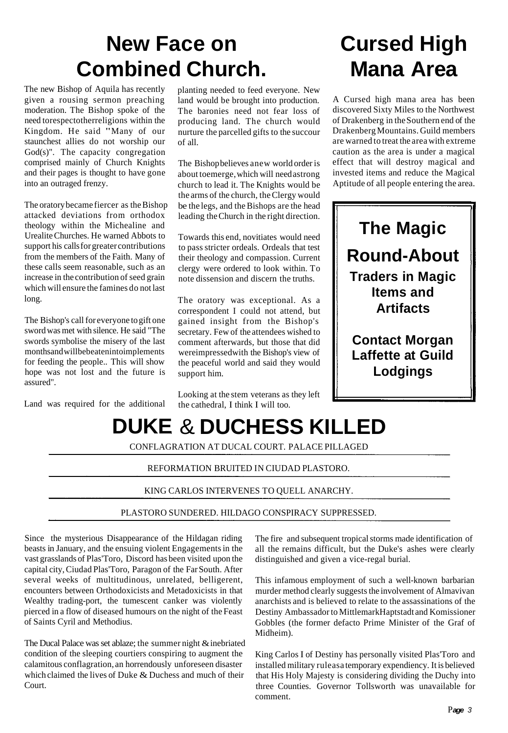### **New Face on Combined Church.**

The new Bishop of Aquila has recently given a rousing sermon preaching moderation. The Bishop spoke of the need torespectotherreligions within the Kingdom. He said "Many of our staunchest allies do not worship our God(s)". The capacity congregation comprised mainly of Church Knights and their pages is thought to have gone into an outraged frenzy.

The oratory became fiercer as the Bishop attacked deviations from orthodox theology within the Michealine and Urealite Churches. He warned Abbots to support his calls for greater contributions from the members of the Faith. Many of these calls seem reasonable, such as an increase in the contribution of seed grain which will ensure the famines do not last long.

The Bishop's call for everyone to gift one sword was met with silence. He said "The swords symbolise the misery of the last monthsand willbebeatenintoimplements for feeding the people.. This will show hope was not lost and the future is assured".

Land was required for the additional

planting needed to feed everyone. New land would be brought into production. The baronies need not fear loss of producing land. The church would nurture the parcelled gifts to the succour of all.

The Bishop believes anew world order is about toemerge, which will need astrong church to lead it. The Knights would be the arms of the church, the Clergy would be the legs, and the Bishops are the head leading the Church in the right direction.

Towards this end, novitiates would need to pass stricter ordeals. Ordeals that test their theology and compassion. Current clergy were ordered to look within. To note dissension and discern the truths.

The oratory was exceptional. As a correspondent I could not attend, but gained insight from the Bishop's secretary. Few of the attendees wished to comment afterwards, but those that did wereimpressedwith the Bishop's view of the peaceful world and said they would support him.

Looking at the stem veterans as they left the cathedral, I think I will too.

## **Cursed High Mana Area**

A Cursed high mana area has been discovered Sixty Miles to the Northwest of Drakenberg in the Southern end of the Drakenberg Mountains. Guild members are warned to treat the area with extreme caution as the area is under a magical effect that will destroy magical and invested items and reduce the Magical Aptitude of all people entering the area.



**Contact Morgan Laffette at Guild Lodgings** 

# **DUKE**  & **DUCHESS KILLED**

CONFLAGRATION AT DUCAL COURT. PALACE PILLAGED

### REFORMATION BRUITED IN CIUDAD PLASTORO.

### KING CARLOS INTERVENES TO QUELL ANARCHY.

### PLASTORO SUNDERED. HILDAGO CONSPIRACY SUPPRESSED.

Since the mysterious Disappearance of the Hildagan riding beasts in January, and the ensuing violent Engagements in the vast grasslands of Plas'Toro, Discord has been visited upon the capital city, Ciudad Plas'Toro, Paragon of the Far South. After several weeks of multitudinous, unrelated, belligerent, encounters between Orthodoxicists and Metadoxicists in that Wealthy trading-port, the tumescent canker was violently pierced in a flow of diseased humours on the night of the Feast of Saints Cyril and Methodius.

The Ducal Palace was set ablaze; the summer night & inebriated condition of the sleeping courtiers conspiring to augment the calamitous conflagration, an horrendously unforeseen disaster which claimed the lives of Duke  $&$  Duchess and much of their **Court** 

The fire and subsequent tropical storms made identification of all the remains difficult, but the Duke's ashes were clearly distinguished and given a vice-regal burial.

This infamous employment of such a well-known barbarian murder method clearly suggests the involvement of Almavivan anarchists and is believed to relate to the assassinations of the Destiny Ambassador to MittlemarkHaptstadt and Komissioner Gobbles (the former defacto Prime Minister of the Graf of Midheim).

King Carlos I of Destiny has personally visited Plas'Toro and installed military ruleasa temporary expendiency. It is believed that His Holy Majesty is considering dividing the Duchy into three Counties. Governor Tollsworth was unavailable for comment.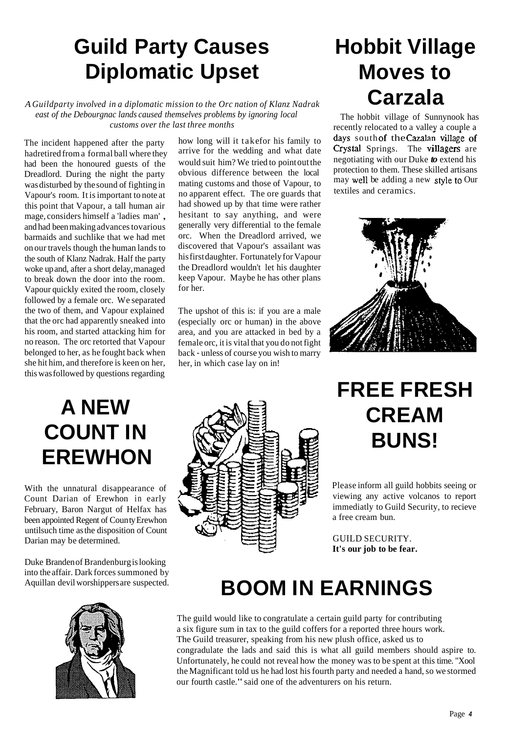## **Guild Party Causes Diplomatic Upset**

*A Guildparty involved in a diplomatic mission to the Orc nation of Klanz Nadrak east of the Debourgnac lands caused themselves problems by ignoring local* The hobbit village of Sunnynook has customs over the last three months

The incident happened after the party hadretired from a formal ball where they had been the honoured guests of the Dreadlord. During the night the party was disturbed by the sound of fighting in Vapour's room. It is important to note at this point that Vapour, a tall human air mage, considers himself a 'ladies man' , and had been making advances tovarious barmaids and suchlike that we had met on our travels though the human lands to the south of Klanz Nadrak. Half the party woke up and, after a short delay, managed to break down the door into the room. Vapour quickly exited the room, closely followed by a female orc. We separated the two of them, and Vapour explained that the orc had apparently sneaked into his room, and started attacking him for no reason. The orc retorted that Vapour belonged to her, as he fought back when she hit him, and therefore is keen on her, this was followed by questions regarding

mating customs and those of Vapour, to may well be adding a new ourself of  $\frac{m \times m}{m}$  textiles and ceramics. no apparent effect. The ore guards that had showed up by that time were rather hesitant to say anything, and were generally very differential to the female orc. When the Dreadlord arrived, we discovered that Vapour's assailant was his first daughter. Fortunately for Vapour the Dreadlord wouldn't let his daughter keep Vapour. Maybe he has other plans for her.

The upshot of this is: if you are a male (especially orc or human) in the above area, and you are attacked in bed by a female orc, it is vital that you do not fight back - unless of course you wish to marry her, in which case lay on in!

## **Hobbit Village Moves to Carzala**

recently relocated to a valley a couple a how long will it takefor his family to days south of the Cazalan village of arrive for the wedding and what date Crystal Springs. The villagers are arrive for the wedding and what date **Crystal Springs.** The **villagers** are would with him? We tried to point out the negotiating with our Duke **to** extend his would suit him? We tried to point out the negotiating with our Duke **to** extend his obvious difference between the local protection to them. These skilled artisans obvious difference between the local protection to them. These skilled artisans<br>mating customs and those of Vapour, to may well be adding a new style to Our



## **A NEW COUNT IN EREWHON**

With the unnatural disappearance of Count Darian of Erewhon in early February, Baron Nargut of Helfax has been appointed Regent of Coun ty Erewhon untilsuch time as the disposition of Count Darian may be determined.

Duke Branden of Brandenburg is looking into the affair. Dark forces summoned by Aquillan devil worshippers are suspected.





### **FREE FRESH CREAM BUNS!**

Please inform all guild hobbits seeing or viewing any active volcanos to report immediatly to Guild Security, to recieve a free cream bun.

GUILD SECURITY. **It's our job to be fear.**

## **BOOM IN EARNINGS**

The guild would like to congratulate a certain guild party for contributing a six figure sum in tax to the guild coffers for a reported three hours work. The Guild treasurer, speaking from his new plush office, asked us to congradulate the lads and said this is what all guild members should aspire to. Unfortunately, he could not reveal how the money was to be spent at this time. "Xool the Magnificant told us he had lost his fourth party and needed a hand, so we stormed our fourth castle." said one of the adventurers on his return.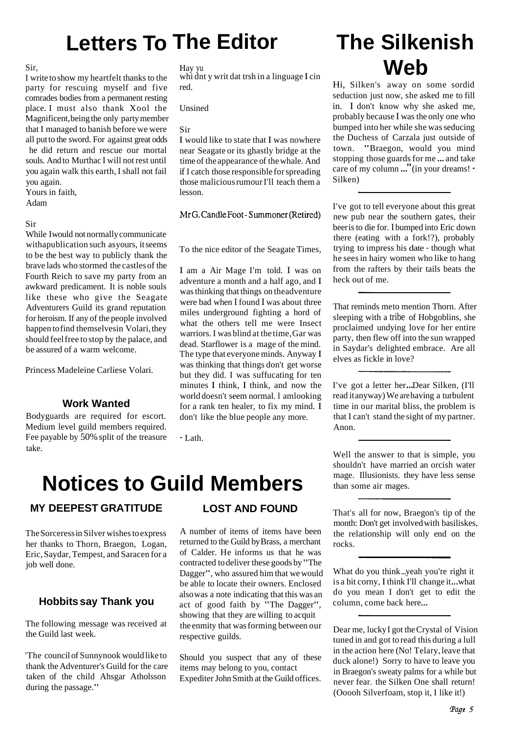## **Letters To The Editor**

#### Sir,

I write to show my heartfelt thanks to the party for rescuing myself and five comrades bodies from a permanent resting place. I must also thank Xool the Magnificent, being the only party member that I managed to banish before we were all put to the sword. For against great odds he did return and rescue our mortal souls. And to Murthac I will not rest until you again walk this earth, I shall not fail you again.

Yours in faith,

Adam

#### Sir

While I would not normally communicate withapublication such as yours, it seems to be the best way to publicly thank the brave lads who stormed the castles of the Fourth Reich to save my party from an awkward predicament. It is noble souls like these who give the Seagate Adventurers Guild its grand reputation for heroism. If any of the people involved happen to find themselvesin Volari, they should feel free to stop by the palace, and be assured of a warm welcome.

Princess Madeleine Carliese Volari.

### **Work Wanted**

Bodyguards are required for escort. Medium level guild members required. Fee payable by 50% split of the treasure take.

#### Hay yu

whi dnt y writ dat trsh in a linguage I cin red.

Unsined

#### Sir

I would like to state that I was nowhere near Seagate or its ghastly bridge at the time of the appearance of the whale. And if I catch those responsible for spreading those malicious rumour I'll teach them a lesson.

MrG. Candle Foot - Summoner (Retired)

To the nice editor of the Seagate Times,

I am a Air Mage I'm told. I was on adventure a month and a half ago, and I was thinking that things on theadventure were bad when I found I was about three miles underground fighting a hord of what the others tell me were Insect warriors. I was blind at the time, Gar was dead. Starflower is a mage of the mind. The type that everyone minds. Anyway I was thinking that things don't get worse but they did. I was suffucating for ten minutes I think, I think, and now the world doesn't seem normal. l am looking for a rank ten healer, to fix my mind. I don't like the blue people any more.

- Lath.

### **Notices to Guild Members**

### **MY DEEPEST GRATITUDE**

The Sorceress in Silver wishes to express her thanks to Thorn, Braegon, Logan, Eric, Saydar, Tempest, and Saracen for a job well done.

### **Hobbits say Thank you**

The following message was received at the Guild last week.

'The council of Sunnynook would like to thank the Adventurer's Guild for the care taken of the child Ahsgar Atholsson during the passage."

### **LOST AND FOUND**

A number of items of items have been returned to the Guild by Brass, a merchant of Calder. He informs us that he was contracted to deliver these goods by "The Dagger", who assured him that we would be able to locate their owners. Enclosed also was a note indicating that this was an act of good faith by "The Dagger", showing that they are willing to acquit the enmity that was forming between our respective guilds.

Should you suspect that any of these items may belong to you, contact Expediter John Smith at the Guild offices.

### **The Silkenish Web**

Hi, Silken's away on some sordid seduction just now, she asked me to fill in. I don't know why she asked me, probably because I was the only one who bumped into her while she was seducing the Duchess of Carzala just outside of town. "Braegon, would you mind stopping those guards for me ... and take care of my column ..." (in your dreams! - Silken)

I've got to tell everyone about this great new pub near the southern gates, their beer is to die for. I bumped into Eric down there (eating with a fork!?), probably trying to impress his date - though what he sees in hairy women who like to hang from the rafters by their tails beats the heck out of me.

That reminds meto mention Thorn. After sleeping with a tribe of Hobgoblins, she proclaimed undying love for her entire party, then flew off into the sun wrapped in Saydar's delighted embrace. Are all elves as fickle in love?

I've got a letter her... Dear Silken, (I'll read it anyway) We are having a turbulent time in our marital bliss, the problem is that I can't stand the sight of my partner. Anon.

Well the answer to that is simple, you shouldn't have married an orcish water mage. Illusionists. they have less sense than some air mages.

That's all for now, Braegon's tip of the month: Don't get involved with basiliskes, the relationship will only end on the rocks.

What do you think ...yeah you're right it is a bit corny, I think I'll change it...what do you mean I don't get to edit the column, come back here...

Dear me, lucky I got the Crystal of Vision tuned in and got to read this during a lull in the action here (No! Telary, leave that duck alone!) Sorry to have to leave you in Braegon's sweaty palms for a while but never fear. the Silken One shall return! (Ooooh Silverfoam, stop it, I like it!)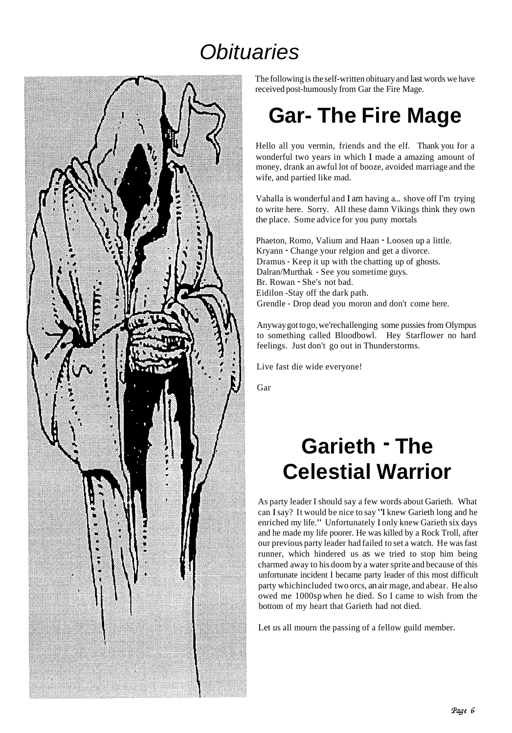### **Obituaries**



The following is the self-written obituary and last words we have received post-humously from Gar the Fire Mage.

## **Gar- The Fire Mage**

Hello all you vermin, friends and the elf. Thank you for a wonderful two years in which I made a amazing amount of money, drank an awful lot of booze, avoided marriage and the wife, and partied like mad.

Vahalla is wonderful and I am having a... shove off I'm trying to write here. Sorry. All these damn Vikings think they own the place. Some advice for you puny mortals

Phaeton, Romo, Valium and Haan - Loosen up a little. Kryann - Change your relgion and get a divorce. Dramus - Keep it up with the chatting up of ghosts. Dalran/Murthak - See you sometime guys. Br. Rowan - She's not bad. Eidilon -Stay off the dark path. Grendle - Drop dead you moron and don't come here.

Anyway got to go, we'rechallenging some pussies from Olympus to something called Bloodbowl. Hey Starflower no hard feelings. Just don't go out in Thunderstorms.

Live fast die wide everyone!

Gar

## **Garieth** - **The Celestial Warrior**

As party leader I should say a few words about Garieth. What can I say? It would be nice to say "I knew Garieth long and he enriched my life." Unfortunately I only knew Garieth six days and he made my life poorer. He was killed by a Rock Troll, after our previous party leader had failed to set a watch. He was fast runner, which hindered us as we tried to stop him being charmed away to his doom by a water sprite and because of this unfortunate incident I became party leader of this most difficult party whichincluded two orcs, an air mage, and abear. He also owed me 1000sp when he died. So I came to wish from the bottom of my heart that Garieth had not died.

Let us all mourn the passing of a fellow guild member.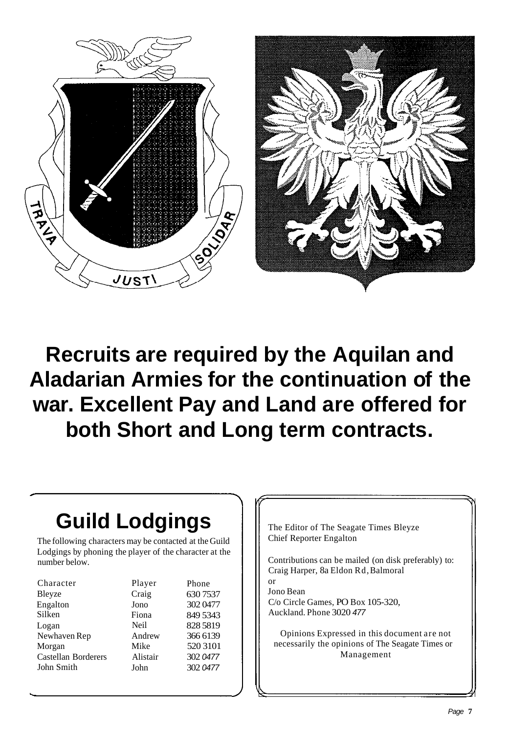

## **Recruits are required by the Aquilan and Aladarian Armies for the continuation of the war. Excellent Pay and Land are offered for both Short and Long term contracts.**

or

## **Guild Lodgings**

The following characters may be contacted at the Guild Lodgings by phoning the player of the character at the number below.

| Character                  | Player      | Phone    |
|----------------------------|-------------|----------|
| Bleyze                     | Craig       | 630 7537 |
| Engalton                   | Jono        | 302 0477 |
| Silken                     | Fiona       | 849 5343 |
| Logan                      | <b>Neil</b> | 828 5819 |
| Newhaven Rep               | Andrew      | 366 6139 |
| Morgan                     | Mike        | 520 3101 |
| <b>Castellan Borderers</b> | Alistair    | 302 0477 |
| John Smith                 | John        | 302 0477 |

The Editor of The Seagate Times Bleyze Chief Reporter Engalton

Contributions can be mailed (on disk preferably) to: Craig Harper, 8a Eldon Rd, Balmoral

Jono Bean C/o Circle Games, PO Box 105-320, Auckland. Phone 3020 477

Opinions Expressed in this document are not necessarily the opinions of The Seagate Times or Management